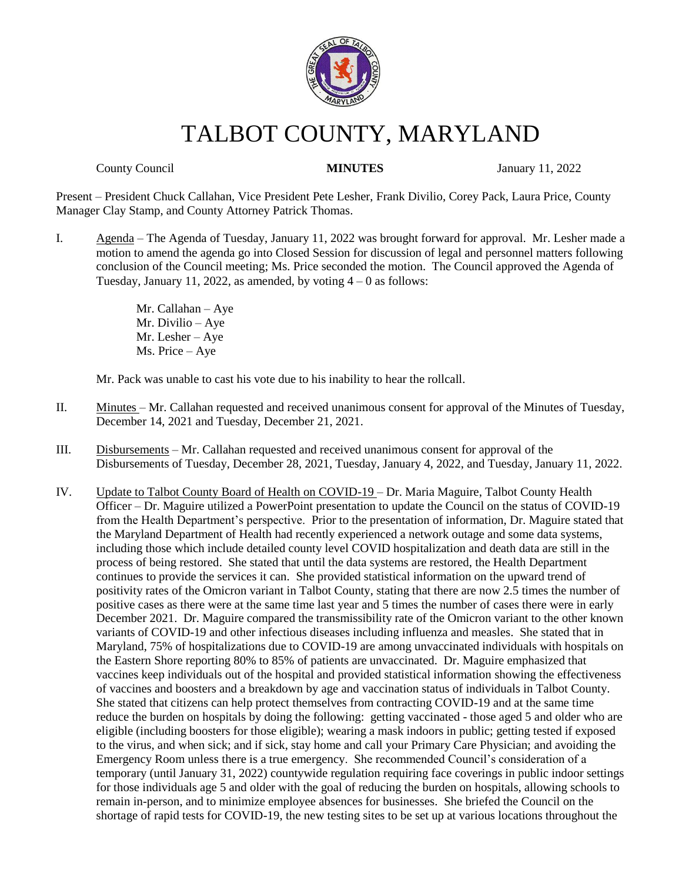

# TALBOT COUNTY, MARYLAND

County Council **MINUTES** January 11, 2022

Present – President Chuck Callahan, Vice President Pete Lesher, Frank Divilio, Corey Pack, Laura Price, County Manager Clay Stamp, and County Attorney Patrick Thomas.

I. Agenda – The Agenda of Tuesday, January 11, 2022 was brought forward for approval. Mr. Lesher made a motion to amend the agenda go into Closed Session for discussion of legal and personnel matters following conclusion of the Council meeting; Ms. Price seconded the motion. The Council approved the Agenda of Tuesday, January 11, 2022, as amended, by voting  $4 - 0$  as follows:

> Mr. Callahan – Aye Mr. Divilio – Aye Mr. Lesher – Aye Ms. Price – Aye

Mr. Pack was unable to cast his vote due to his inability to hear the rollcall.

- II. Minutes Mr. Callahan requested and received unanimous consent for approval of the Minutes of Tuesday, December 14, 2021 and Tuesday, December 21, 2021.
- III. Disbursements Mr. Callahan requested and received unanimous consent for approval of the Disbursements of Tuesday, December 28, 2021, Tuesday, January 4, 2022, and Tuesday, January 11, 2022.
- IV. Update to Talbot County Board of Health on COVID-19 Dr. Maria Maguire, Talbot County Health Officer – Dr. Maguire utilized a PowerPoint presentation to update the Council on the status of COVID-19 from the Health Department's perspective. Prior to the presentation of information, Dr. Maguire stated that the Maryland Department of Health had recently experienced a network outage and some data systems, including those which include detailed county level COVID hospitalization and death data are still in the process of being restored. She stated that until the data systems are restored, the Health Department continues to provide the services it can. She provided statistical information on the upward trend of positivity rates of the Omicron variant in Talbot County, stating that there are now 2.5 times the number of positive cases as there were at the same time last year and 5 times the number of cases there were in early December 2021. Dr. Maguire compared the transmissibility rate of the Omicron variant to the other known variants of COVID-19 and other infectious diseases including influenza and measles. She stated that in Maryland, 75% of hospitalizations due to COVID-19 are among unvaccinated individuals with hospitals on the Eastern Shore reporting 80% to 85% of patients are unvaccinated. Dr. Maguire emphasized that vaccines keep individuals out of the hospital and provided statistical information showing the effectiveness of vaccines and boosters and a breakdown by age and vaccination status of individuals in Talbot County. She stated that citizens can help protect themselves from contracting COVID-19 and at the same time reduce the burden on hospitals by doing the following: getting vaccinated - those aged 5 and older who are eligible (including boosters for those eligible); wearing a mask indoors in public; getting tested if exposed to the virus, and when sick; and if sick, stay home and call your Primary Care Physician; and avoiding the Emergency Room unless there is a true emergency. She recommended Council's consideration of a temporary (until January 31, 2022) countywide regulation requiring face coverings in public indoor settings for those individuals age 5 and older with the goal of reducing the burden on hospitals, allowing schools to remain in-person, and to minimize employee absences for businesses. She briefed the Council on the shortage of rapid tests for COVID-19, the new testing sites to be set up at various locations throughout the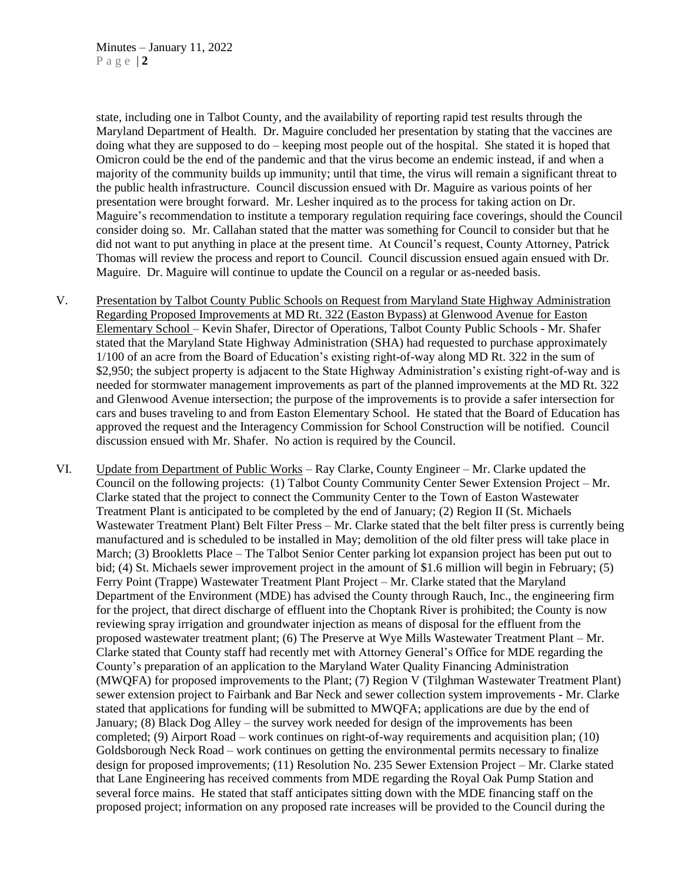state, including one in Talbot County, and the availability of reporting rapid test results through the Maryland Department of Health. Dr. Maguire concluded her presentation by stating that the vaccines are doing what they are supposed to do – keeping most people out of the hospital. She stated it is hoped that Omicron could be the end of the pandemic and that the virus become an endemic instead, if and when a majority of the community builds up immunity; until that time, the virus will remain a significant threat to the public health infrastructure. Council discussion ensued with Dr. Maguire as various points of her presentation were brought forward. Mr. Lesher inquired as to the process for taking action on Dr. Maguire's recommendation to institute a temporary regulation requiring face coverings, should the Council consider doing so. Mr. Callahan stated that the matter was something for Council to consider but that he did not want to put anything in place at the present time. At Council's request, County Attorney, Patrick Thomas will review the process and report to Council. Council discussion ensued again ensued with Dr. Maguire. Dr. Maguire will continue to update the Council on a regular or as-needed basis.

- V. Presentation by Talbot County Public Schools on Request from Maryland State Highway Administration Regarding Proposed Improvements at MD Rt. 322 (Easton Bypass) at Glenwood Avenue for Easton Elementary School – Kevin Shafer, Director of Operations, Talbot County Public Schools - Mr. Shafer stated that the Maryland State Highway Administration (SHA) had requested to purchase approximately 1/100 of an acre from the Board of Education's existing right-of-way along MD Rt. 322 in the sum of \$2,950; the subject property is adjacent to the State Highway Administration's existing right-of-way and is needed for stormwater management improvements as part of the planned improvements at the MD Rt. 322 and Glenwood Avenue intersection; the purpose of the improvements is to provide a safer intersection for cars and buses traveling to and from Easton Elementary School. He stated that the Board of Education has approved the request and the Interagency Commission for School Construction will be notified. Council discussion ensued with Mr. Shafer. No action is required by the Council.
- VI. Update from Department of Public Works Ray Clarke, County Engineer Mr. Clarke updated the Council on the following projects: (1) Talbot County Community Center Sewer Extension Project – Mr. Clarke stated that the project to connect the Community Center to the Town of Easton Wastewater Treatment Plant is anticipated to be completed by the end of January; (2) Region II (St. Michaels Wastewater Treatment Plant) Belt Filter Press – Mr. Clarke stated that the belt filter press is currently being manufactured and is scheduled to be installed in May; demolition of the old filter press will take place in March; (3) Brookletts Place – The Talbot Senior Center parking lot expansion project has been put out to bid; (4) St. Michaels sewer improvement project in the amount of \$1.6 million will begin in February; (5) Ferry Point (Trappe) Wastewater Treatment Plant Project – Mr. Clarke stated that the Maryland Department of the Environment (MDE) has advised the County through Rauch, Inc., the engineering firm for the project, that direct discharge of effluent into the Choptank River is prohibited; the County is now reviewing spray irrigation and groundwater injection as means of disposal for the effluent from the proposed wastewater treatment plant; (6) The Preserve at Wye Mills Wastewater Treatment Plant – Mr. Clarke stated that County staff had recently met with Attorney General's Office for MDE regarding the County's preparation of an application to the Maryland Water Quality Financing Administration (MWQFA) for proposed improvements to the Plant; (7) Region V (Tilghman Wastewater Treatment Plant) sewer extension project to Fairbank and Bar Neck and sewer collection system improvements - Mr. Clarke stated that applications for funding will be submitted to MWQFA; applications are due by the end of January; (8) Black Dog Alley – the survey work needed for design of the improvements has been completed; (9) Airport Road – work continues on right-of-way requirements and acquisition plan; (10) Goldsborough Neck Road – work continues on getting the environmental permits necessary to finalize design for proposed improvements; (11) Resolution No. 235 Sewer Extension Project – Mr. Clarke stated that Lane Engineering has received comments from MDE regarding the Royal Oak Pump Station and several force mains. He stated that staff anticipates sitting down with the MDE financing staff on the proposed project; information on any proposed rate increases will be provided to the Council during the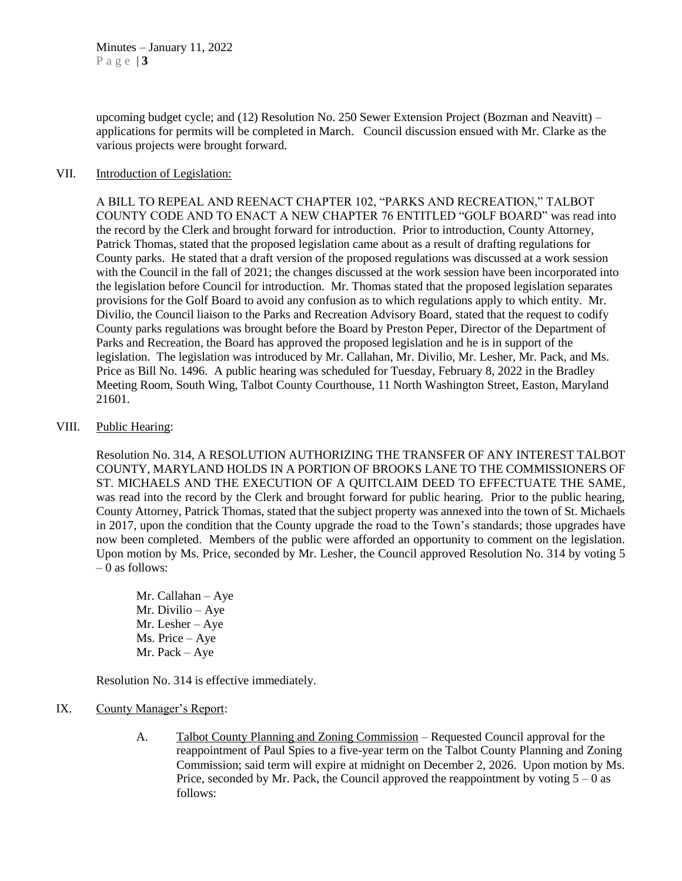upcoming budget cycle; and (12) Resolution No. 250 Sewer Extension Project (Bozman and Neavitt) – applications for permits will be completed in March. Council discussion ensued with Mr. Clarke as the various projects were brought forward.

#### VII. Introduction of Legislation:

A BILL TO REPEAL AND REENACT CHAPTER 102, "PARKS AND RECREATION," TALBOT COUNTY CODE AND TO ENACT A NEW CHAPTER 76 ENTITLED "GOLF BOARD" was read into the record by the Clerk and brought forward for introduction. Prior to introduction, County Attorney, Patrick Thomas, stated that the proposed legislation came about as a result of drafting regulations for County parks. He stated that a draft version of the proposed regulations was discussed at a work session with the Council in the fall of 2021; the changes discussed at the work session have been incorporated into the legislation before Council for introduction. Mr. Thomas stated that the proposed legislation separates provisions for the Golf Board to avoid any confusion as to which regulations apply to which entity. Mr. Divilio, the Council liaison to the Parks and Recreation Advisory Board, stated that the request to codify County parks regulations was brought before the Board by Preston Peper, Director of the Department of Parks and Recreation, the Board has approved the proposed legislation and he is in support of the legislation. The legislation was introduced by Mr. Callahan, Mr. Divilio, Mr. Lesher, Mr. Pack, and Ms. Price as Bill No. 1496. A public hearing was scheduled for Tuesday, February 8, 2022 in the Bradley Meeting Room, South Wing, Talbot County Courthouse, 11 North Washington Street, Easton, Maryland 21601.

#### VIII. Public Hearing:

Resolution No. 314, A RESOLUTION AUTHORIZING THE TRANSFER OF ANY INTEREST TALBOT COUNTY, MARYLAND HOLDS IN A PORTION OF BROOKS LANE TO THE COMMISSIONERS OF ST. MICHAELS AND THE EXECUTION OF A QUITCLAIM DEED TO EFFECTUATE THE SAME, was read into the record by the Clerk and brought forward for public hearing. Prior to the public hearing, County Attorney, Patrick Thomas, stated that the subject property was annexed into the town of St. Michaels in 2017, upon the condition that the County upgrade the road to the Town's standards; those upgrades have now been completed. Members of the public were afforded an opportunity to comment on the legislation. Upon motion by Ms. Price, seconded by Mr. Lesher, the Council approved Resolution No. 314 by voting 5  $-0$  as follows:

Mr. Callahan – Aye Mr. Divilio – Aye Mr. Lesher – Aye Ms. Price – Aye Mr. Pack – Aye

Resolution No. 314 is effective immediately.

#### IX. County Manager's Report:

A. Talbot County Planning and Zoning Commission – Requested Council approval for the reappointment of Paul Spies to a five-year term on the Talbot County Planning and Zoning Commission; said term will expire at midnight on December 2, 2026. Upon motion by Ms. Price, seconded by Mr. Pack, the Council approved the reappointment by voting  $5 - 0$  as follows: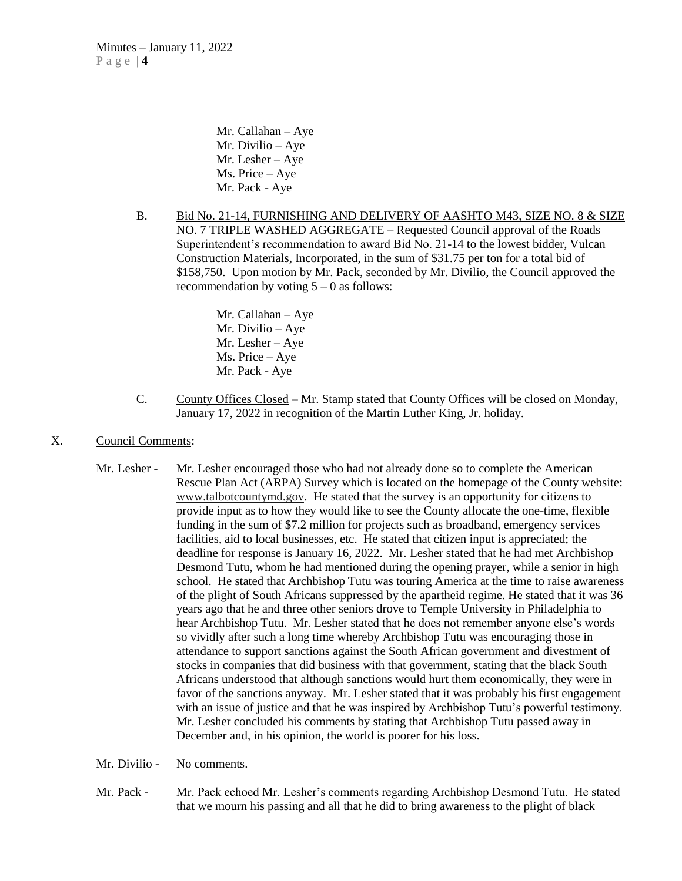Mr. Callahan – Aye Mr. Divilio – Aye Mr. Lesher – Aye Ms. Price – Aye Mr. Pack - Aye

B. Bid No. 21-14, FURNISHING AND DELIVERY OF AASHTO M43, SIZE NO. 8 & SIZE NO. 7 TRIPLE WASHED AGGREGATE – Requested Council approval of the Roads Superintendent's recommendation to award Bid No. 21-14 to the lowest bidder, Vulcan Construction Materials, Incorporated, in the sum of \$31.75 per ton for a total bid of \$158,750. Upon motion by Mr. Pack, seconded by Mr. Divilio, the Council approved the recommendation by voting  $5 - 0$  as follows:

> Mr. Callahan – Aye Mr. Divilio – Aye Mr. Lesher – Aye Ms. Price – Aye Mr. Pack - Aye

- C. County Offices Closed Mr. Stamp stated that County Offices will be closed on Monday, January 17, 2022 in recognition of the Martin Luther King, Jr. holiday.
- X. Council Comments:
	- Mr. Lesher Mr. Lesher encouraged those who had not already done so to complete the American Rescue Plan Act (ARPA) Survey which is located on the homepage of the County website: [www.talbotcountymd.gov.](http://www.talbotcountymd.gov/) He stated that the survey is an opportunity for citizens to provide input as to how they would like to see the County allocate the one-time, flexible funding in the sum of \$7.2 million for projects such as broadband, emergency services facilities, aid to local businesses, etc. He stated that citizen input is appreciated; the deadline for response is January 16, 2022. Mr. Lesher stated that he had met Archbishop Desmond Tutu, whom he had mentioned during the opening prayer, while a senior in high school. He stated that Archbishop Tutu was touring America at the time to raise awareness of the plight of South Africans suppressed by the apartheid regime. He stated that it was 36 years ago that he and three other seniors drove to Temple University in Philadelphia to hear Archbishop Tutu. Mr. Lesher stated that he does not remember anyone else's words so vividly after such a long time whereby Archbishop Tutu was encouraging those in attendance to support sanctions against the South African government and divestment of stocks in companies that did business with that government, stating that the black South Africans understood that although sanctions would hurt them economically, they were in favor of the sanctions anyway. Mr. Lesher stated that it was probably his first engagement with an issue of justice and that he was inspired by Archbishop Tutu's powerful testimony. Mr. Lesher concluded his comments by stating that Archbishop Tutu passed away in December and, in his opinion, the world is poorer for his loss.

Mr. Divilio - No comments.

Mr. Pack - Mr. Pack echoed Mr. Lesher's comments regarding Archbishop Desmond Tutu. He stated that we mourn his passing and all that he did to bring awareness to the plight of black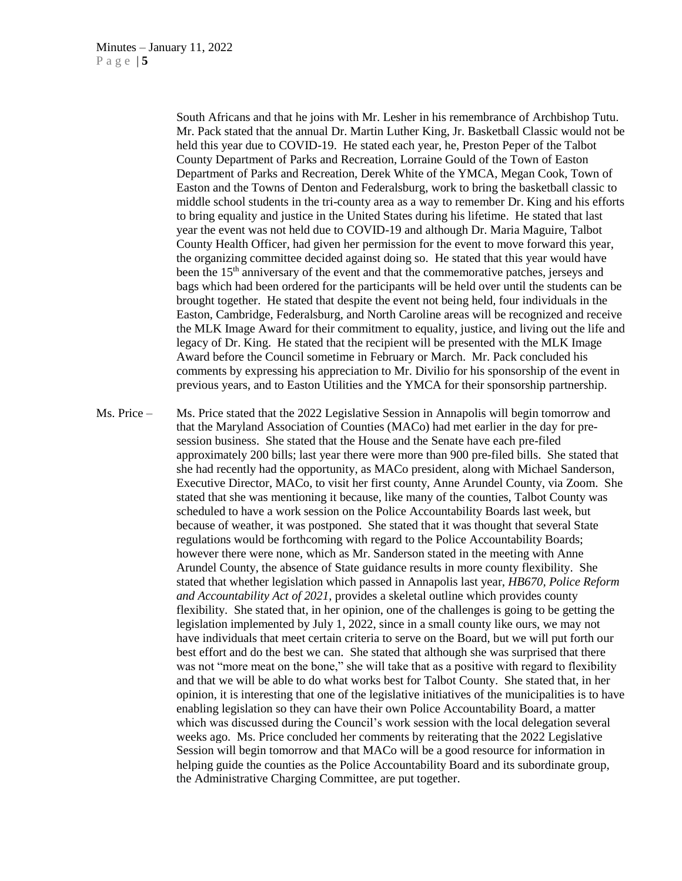South Africans and that he joins with Mr. Lesher in his remembrance of Archbishop Tutu. Mr. Pack stated that the annual Dr. Martin Luther King, Jr. Basketball Classic would not be held this year due to COVID-19. He stated each year, he, Preston Peper of the Talbot County Department of Parks and Recreation, Lorraine Gould of the Town of Easton Department of Parks and Recreation, Derek White of the YMCA, Megan Cook, Town of Easton and the Towns of Denton and Federalsburg, work to bring the basketball classic to middle school students in the tri-county area as a way to remember Dr. King and his efforts to bring equality and justice in the United States during his lifetime. He stated that last year the event was not held due to COVID-19 and although Dr. Maria Maguire, Talbot County Health Officer, had given her permission for the event to move forward this year, the organizing committee decided against doing so. He stated that this year would have been the 15<sup>th</sup> anniversary of the event and that the commemorative patches, jerseys and bags which had been ordered for the participants will be held over until the students can be brought together. He stated that despite the event not being held, four individuals in the Easton, Cambridge, Federalsburg, and North Caroline areas will be recognized and receive the MLK Image Award for their commitment to equality, justice, and living out the life and legacy of Dr. King. He stated that the recipient will be presented with the MLK Image Award before the Council sometime in February or March. Mr. Pack concluded his comments by expressing his appreciation to Mr. Divilio for his sponsorship of the event in previous years, and to Easton Utilities and the YMCA for their sponsorship partnership.

Ms. Price – Ms. Price stated that the 2022 Legislative Session in Annapolis will begin tomorrow and that the Maryland Association of Counties (MACo) had met earlier in the day for presession business. She stated that the House and the Senate have each pre-filed approximately 200 bills; last year there were more than 900 pre-filed bills. She stated that she had recently had the opportunity, as MACo president, along with Michael Sanderson, Executive Director, MACo, to visit her first county, Anne Arundel County, via Zoom. She stated that she was mentioning it because, like many of the counties, Talbot County was scheduled to have a work session on the Police Accountability Boards last week, but because of weather, it was postponed. She stated that it was thought that several State regulations would be forthcoming with regard to the Police Accountability Boards; however there were none, which as Mr. Sanderson stated in the meeting with Anne Arundel County, the absence of State guidance results in more county flexibility. She stated that whether legislation which passed in Annapolis last year, *HB670, Police Reform and Accountability Act of 2021*, provides a skeletal outline which provides county flexibility. She stated that, in her opinion, one of the challenges is going to be getting the legislation implemented by July 1, 2022, since in a small county like ours, we may not have individuals that meet certain criteria to serve on the Board, but we will put forth our best effort and do the best we can. She stated that although she was surprised that there was not "more meat on the bone," she will take that as a positive with regard to flexibility and that we will be able to do what works best for Talbot County. She stated that, in her opinion, it is interesting that one of the legislative initiatives of the municipalities is to have enabling legislation so they can have their own Police Accountability Board, a matter which was discussed during the Council's work session with the local delegation several weeks ago. Ms. Price concluded her comments by reiterating that the 2022 Legislative Session will begin tomorrow and that MACo will be a good resource for information in helping guide the counties as the Police Accountability Board and its subordinate group, the Administrative Charging Committee, are put together.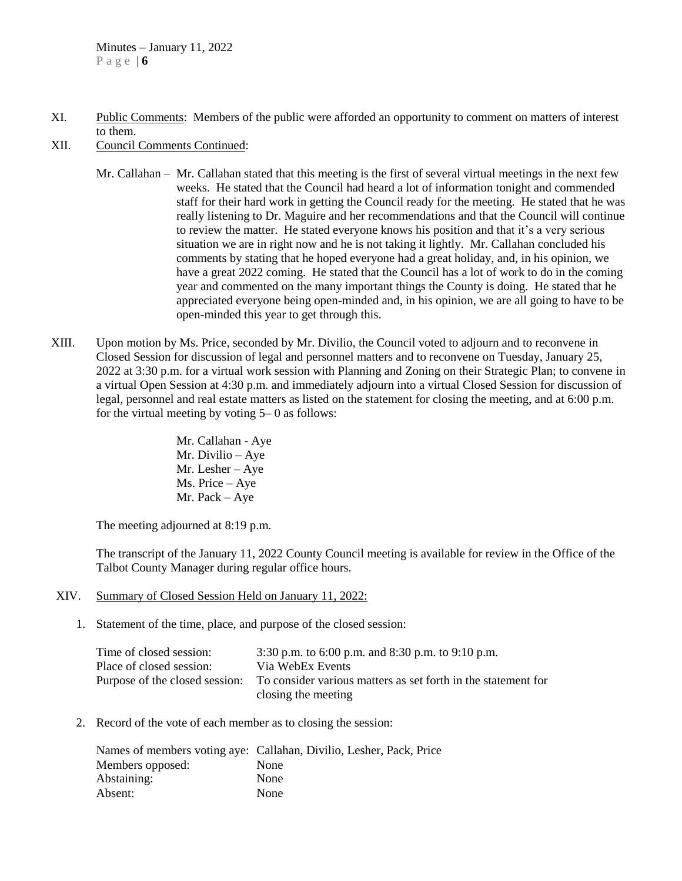- XI. Public Comments: Members of the public were afforded an opportunity to comment on matters of interest to them.
- XII. Council Comments Continued:
	- Mr. Callahan Mr. Callahan stated that this meeting is the first of several virtual meetings in the next few weeks. He stated that the Council had heard a lot of information tonight and commended staff for their hard work in getting the Council ready for the meeting. He stated that he was really listening to Dr. Maguire and her recommendations and that the Council will continue to review the matter. He stated everyone knows his position and that it's a very serious situation we are in right now and he is not taking it lightly. Mr. Callahan concluded his comments by stating that he hoped everyone had a great holiday, and, in his opinion, we have a great 2022 coming. He stated that the Council has a lot of work to do in the coming year and commented on the many important things the County is doing. He stated that he appreciated everyone being open-minded and, in his opinion, we are all going to have to be open-minded this year to get through this.
- XIII. Upon motion by Ms. Price, seconded by Mr. Divilio, the Council voted to adjourn and to reconvene in Closed Session for discussion of legal and personnel matters and to reconvene on Tuesday, January 25, 2022 at 3:30 p.m. for a virtual work session with Planning and Zoning on their Strategic Plan; to convene in a virtual Open Session at 4:30 p.m. and immediately adjourn into a virtual Closed Session for discussion of legal, personnel and real estate matters as listed on the statement for closing the meeting, and at 6:00 p.m. for the virtual meeting by voting 5– 0 as follows:
	- Mr. Callahan Aye Mr. Divilio – Aye Mr. Lesher – Aye Ms. Price – Aye Mr. Pack – Aye

The meeting adjourned at 8:19 p.m.

The transcript of the January 11, 2022 County Council meeting is available for review in the Office of the Talbot County Manager during regular office hours.

- XIV. Summary of Closed Session Held on January 11, 2022:
	- 1. Statement of the time, place, and purpose of the closed session:

| Time of closed session:        | 3:30 p.m. to 6:00 p.m. and 8:30 p.m. to 9:10 p.m.             |
|--------------------------------|---------------------------------------------------------------|
| Place of closed session:       | Via WebEx Events                                              |
| Purpose of the closed session: | To consider various matters as set forth in the statement for |
|                                | closing the meeting                                           |

2. Record of the vote of each member as to closing the session:

|                  | Names of members voting aye: Callahan, Divilio, Lesher, Pack, Price |
|------------------|---------------------------------------------------------------------|
| Members opposed: | <b>None</b>                                                         |
| Abstaining:      | None                                                                |
| Absent:          | None                                                                |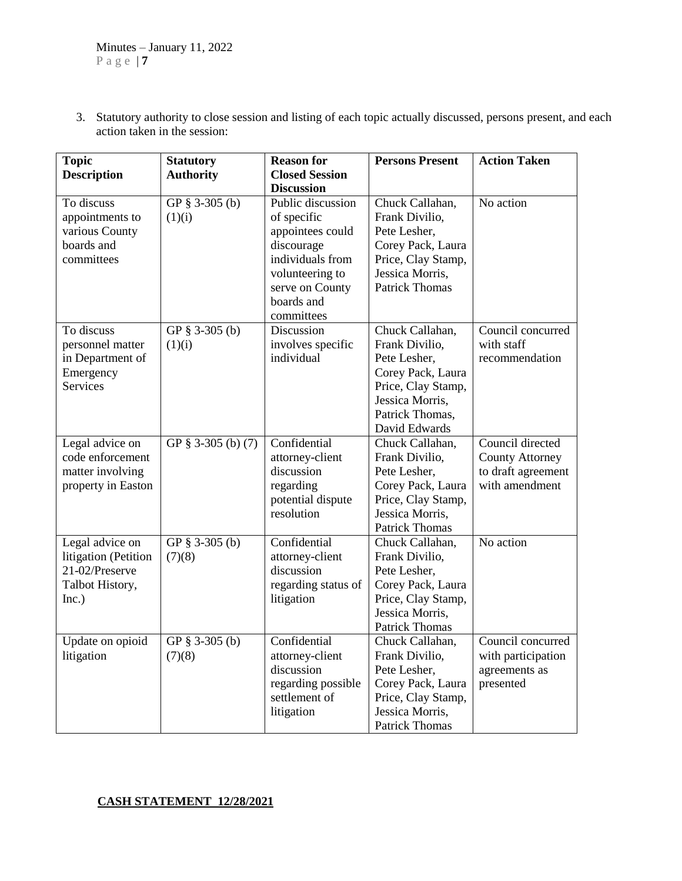3. Statutory authority to close session and listing of each topic actually discussed, persons present, and each action taken in the session:

| <b>Topic</b>                                                                          | <b>Statutory</b>           | <b>Reason for</b>                                                                                                                          | <b>Persons Present</b>                                                                                                                              | <b>Action Taken</b>                                                                |
|---------------------------------------------------------------------------------------|----------------------------|--------------------------------------------------------------------------------------------------------------------------------------------|-----------------------------------------------------------------------------------------------------------------------------------------------------|------------------------------------------------------------------------------------|
| <b>Description</b>                                                                    | <b>Authority</b>           | <b>Closed Session</b>                                                                                                                      |                                                                                                                                                     |                                                                                    |
|                                                                                       |                            | <b>Discussion</b>                                                                                                                          |                                                                                                                                                     |                                                                                    |
| To discuss<br>appointments to<br>various County<br>boards and<br>committees           | GP $§$ 3-305 (b)<br>(1)(i) | Public discussion<br>of specific<br>appointees could<br>discourage<br>individuals from<br>volunteering to<br>serve on County<br>boards and | Chuck Callahan,<br>Frank Divilio,<br>Pete Lesher,<br>Corey Pack, Laura<br>Price, Clay Stamp,<br>Jessica Morris,<br><b>Patrick Thomas</b>            | No action                                                                          |
| To discuss<br>personnel matter<br>in Department of<br>Emergency<br><b>Services</b>    | GP § 3-305 (b)<br>(1)(i)   | committees<br>Discussion<br>involves specific<br>individual                                                                                | Chuck Callahan,<br>Frank Divilio,<br>Pete Lesher,<br>Corey Pack, Laura<br>Price, Clay Stamp,<br>Jessica Morris,<br>Patrick Thomas,<br>David Edwards | Council concurred<br>with staff<br>recommendation                                  |
| Legal advice on<br>code enforcement<br>matter involving<br>property in Easton         | GP § 3-305 (b) (7)         | Confidential<br>attorney-client<br>discussion<br>regarding<br>potential dispute<br>resolution                                              | Chuck Callahan,<br>Frank Divilio,<br>Pete Lesher,<br>Corey Pack, Laura<br>Price, Clay Stamp,<br>Jessica Morris,<br><b>Patrick Thomas</b>            | Council directed<br><b>County Attorney</b><br>to draft agreement<br>with amendment |
| Legal advice on<br>litigation (Petition<br>21-02/Preserve<br>Talbot History,<br>Inc.) | GP § 3-305 (b)<br>(7)(8)   | Confidential<br>attorney-client<br>discussion<br>regarding status of<br>litigation                                                         | Chuck Callahan,<br>Frank Divilio,<br>Pete Lesher,<br>Corey Pack, Laura<br>Price, Clay Stamp,<br>Jessica Morris,<br>Patrick Thomas                   | No action                                                                          |
| Update on opioid<br>litigation                                                        | GP § 3-305 (b)<br>(7)(8)   | Confidential<br>attorney-client<br>discussion<br>regarding possible<br>settlement of<br>litigation                                         | Chuck Callahan,<br>Frank Divilio,<br>Pete Lesher,<br>Corey Pack, Laura<br>Price, Clay Stamp,<br>Jessica Morris,<br>Patrick Thomas                   | Council concurred<br>with participation<br>agreements as<br>presented              |

### **CASH STATEMENT 12/28/2021**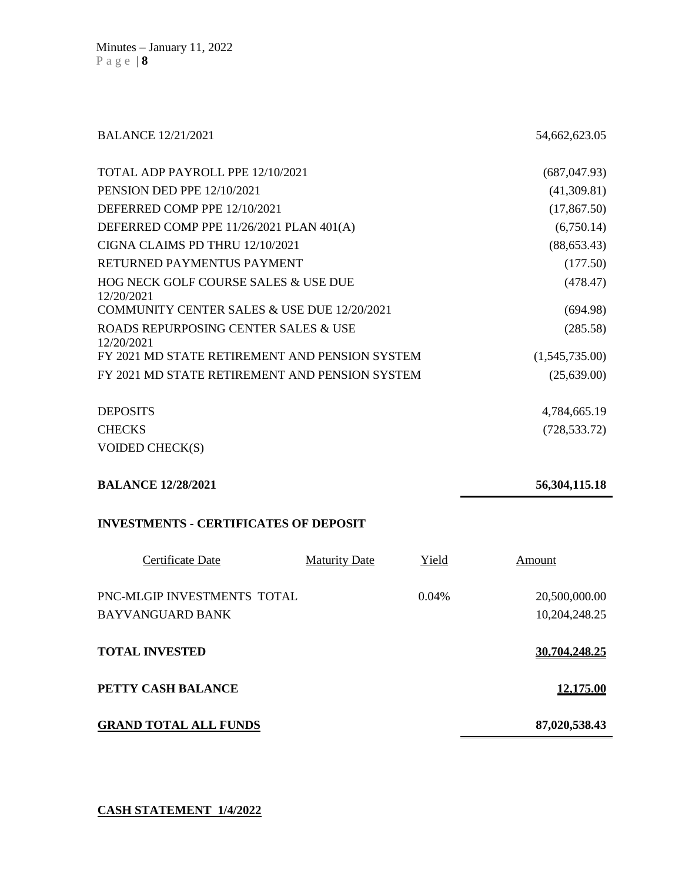BALANCE 12/21/2021 54,662,623.05

| TOTAL ADP PAYROLL PPE 12/10/2021                   | (687, 047.93)  |
|----------------------------------------------------|----------------|
| <b>PENSION DED PPE 12/10/2021</b>                  | (41,309.81)    |
| DEFERRED COMP PPE 12/10/2021                       | (17, 867.50)   |
| DEFERRED COMP PPE 11/26/2021 PLAN 401(A)           | (6,750.14)     |
| CIGNA CLAIMS PD THRU 12/10/2021                    | (88, 653.43)   |
| RETURNED PAYMENTUS PAYMENT                         | (177.50)       |
| HOG NECK GOLF COURSE SALES & USE DUE<br>12/20/2021 | (478.47)       |
| COMMUNITY CENTER SALES & USE DUE 12/20/2021        | (694.98)       |
| ROADS REPURPOSING CENTER SALES & USE<br>12/20/2021 | (285.58)       |
| FY 2021 MD STATE RETIREMENT AND PENSION SYSTEM     | (1,545,735.00) |
| FY 2021 MD STATE RETIREMENT AND PENSION SYSTEM     | (25,639.00)    |
| <b>DEPOSITS</b>                                    | 4,784,665.19   |
| <b>CHECKS</b>                                      | (728, 533.72)  |

VOIDED CHECK(S)

**BALANCE 12/28/2021 56,304,115.18** 

#### **INVESTMENTS - CERTIFICATES OF DEPOSIT**

| Certificate Date                                | <b>Maturity Date</b> | Yield | Amount                         |
|-------------------------------------------------|----------------------|-------|--------------------------------|
| PNC-MLGIP INVESTMENTS TOTAL<br>BAYVANGUARD BANK |                      | 0.04% | 20,500,000.00<br>10,204,248.25 |
| <b>TOTAL INVESTED</b>                           |                      |       | 30,704,248.25                  |
| PETTY CASH BALANCE                              |                      |       | <u>12,175.00</u>               |
| <b>GRAND TOTAL ALL FUNDS</b>                    |                      |       | 87,020,538.43                  |

**CASH STATEMENT 1/4/2022**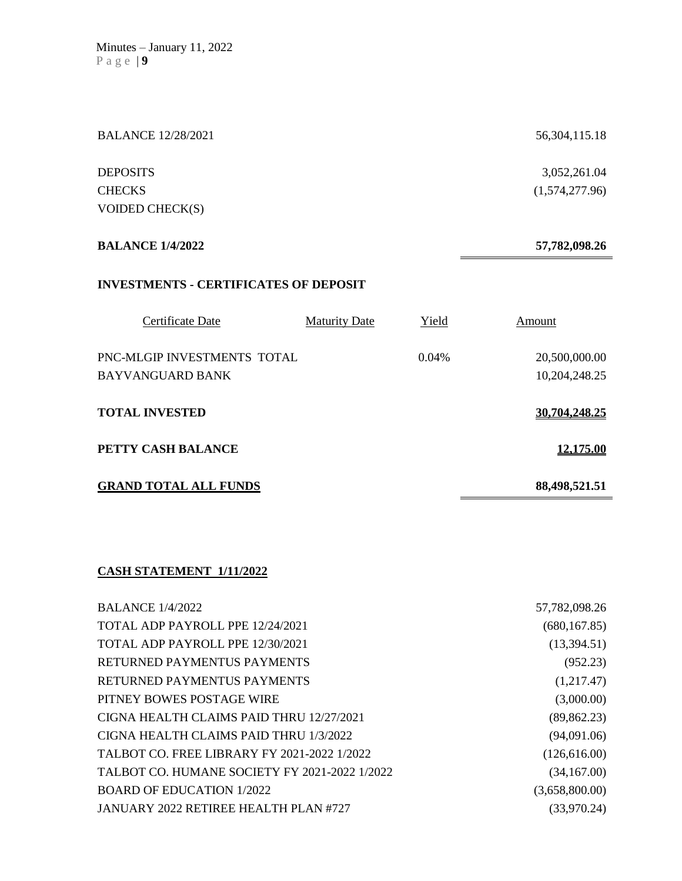| <b>BALANCE 12/28/2021</b>                    |                      |       | 56, 304, 115. 18 |
|----------------------------------------------|----------------------|-------|------------------|
| <b>DEPOSITS</b>                              |                      |       | 3,052,261.04     |
| <b>CHECKS</b>                                |                      |       | (1,574,277.96)   |
| VOIDED CHECK(S)                              |                      |       |                  |
| <b>BALANCE 1/4/2022</b>                      |                      |       | 57,782,098.26    |
| <b>INVESTMENTS - CERTIFICATES OF DEPOSIT</b> |                      |       |                  |
| Certificate Date                             | <b>Maturity Date</b> | Yield | Amount           |
| PNC-MLGIP INVESTMENTS TOTAL                  |                      | 0.04% | 20,500,000.00    |
| <b>BAYVANGUARD BANK</b>                      |                      |       | 10,204,248.25    |
| <b>TOTAL INVESTED</b>                        |                      |       | 30,704,248.25    |
| PETTY CASH BALANCE                           |                      |       | 12,175.00        |
| <b>GRAND TOTAL ALL FUNDS</b>                 |                      |       | 88,498,521.51    |

## **CASH STATEMENT 1/11/2022**

| <b>BALANCE 1/4/2022</b>                       | 57,782,098.26  |
|-----------------------------------------------|----------------|
| TOTAL ADP PAYROLL PPE 12/24/2021              | (680, 167.85)  |
| TOTAL ADP PAYROLL PPE 12/30/2021              | (13,394.51)    |
| RETURNED PAYMENTUS PAYMENTS                   | (952.23)       |
| RETURNED PAYMENTUS PAYMENTS                   | (1,217.47)     |
| PITNEY BOWES POSTAGE WIRE                     | (3,000.00)     |
| CIGNA HEALTH CLAIMS PAID THRU 12/27/2021      | (89, 862.23)   |
| CIGNA HEALTH CLAIMS PAID THRU 1/3/2022        | (94,091.06)    |
| TALBOT CO. FREE LIBRARY FY 2021-2022 1/2022   | (126, 616.00)  |
| TALBOT CO. HUMANE SOCIETY FY 2021-2022 1/2022 | (34,167.00)    |
| <b>BOARD OF EDUCATION 1/2022</b>              | (3,658,800.00) |
| JANUARY 2022 RETIREE HEALTH PLAN #727         | (33,970.24)    |